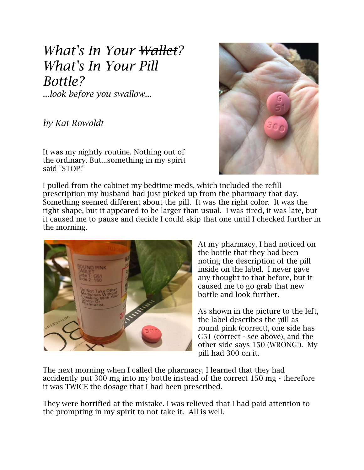## *What's In Your Wallet? What's In Your Pill Bottle?*

*...look before you swallow...*

*by Kat Rowoldt*

It was my nightly routine. Nothing out of the ordinary. But...something in my spirit said "STOP!"



I pulled from the cabinet my bedtime meds, which included the refill prescription my husband had just picked up from the pharmacy that day. Something seemed different about the pill. It was the right color. It was the right shape, but it appeared to be larger than usual. I was tired, it was late, but it caused me to pause and decide I could skip that one until I checked further in the morning.



At my pharmacy, I had noticed on the bottle that they had been noting the description of the pill inside on the label. I never gave any thought to that before, but it caused me to go grab that new bottle and look further.

As shown in the picture to the left, the label describes the pill as round pink (correct), one side has G51 (correct - see above), and the other side says 150 (WRONG!). My pill had 300 on it.

The next morning when I called the pharmacy, I learned that they had accidently put 300 mg into my bottle instead of the correct 150 mg - therefore it was TWICE the dosage that I had been prescribed.

They were horrified at the mistake. I was relieved that I had paid attention to the prompting in my spirit to not take it. All is well.